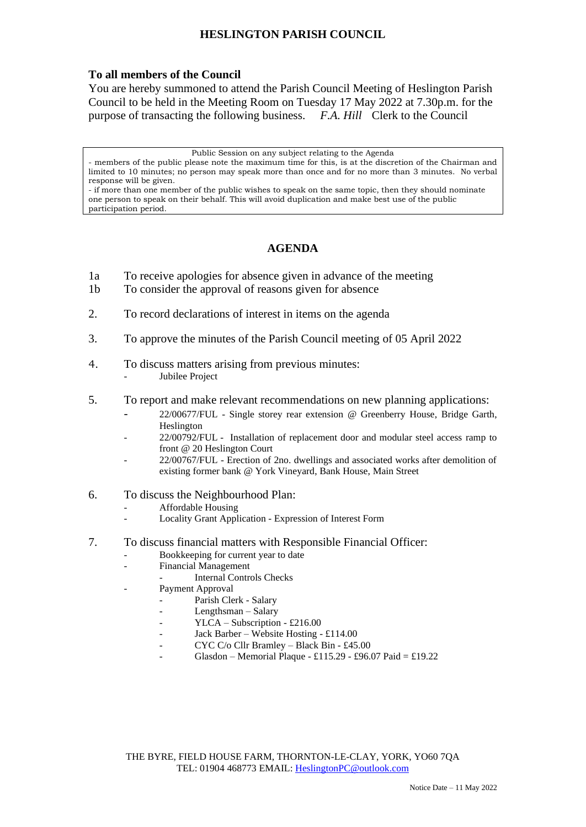## **HESLINGTON PARISH COUNCIL**

## **To all members of the Council**

You are hereby summoned to attend the Parish Council Meeting of Heslington Parish Council to be held in the Meeting Room on Tuesday 17 May 2022 at 7.30p.m. for the purpose of transacting the following business. *F.A. Hill* Clerk to the Council

Public Session on any subject relating to the Agenda

- members of the public please note the maximum time for this, is at the discretion of the Chairman and limited to 10 minutes; no person may speak more than once and for no more than 3 minutes. No verbal response will be given.

- if more than one member of the public wishes to speak on the same topic, then they should nominate one person to speak on their behalf. This will avoid duplication and make best use of the public participation period.

## **AGENDA**

- 1a To receive apologies for absence given in advance of the meeting
- 1b To consider the approval of reasons given for absence
- 2. To record declarations of interest in items on the agenda
- 3. To approve the minutes of the Parish Council meeting of 05 April 2022
- 4. To discuss matters arising from previous minutes: Jubilee Project
- 5. To report and make relevant recommendations on new planning applications:
	- 22/00677/FUL Single storey rear extension @ Greenberry House, Bridge Garth, Heslington
	- 22/00792/FUL Installation of replacement door and modular steel access ramp to front @ 20 Heslington Court
	- 22/00767/FUL Erection of 2no. dwellings and associated works after demolition of existing former bank @ York Vineyard, Bank House, Main Street
- 6. To discuss the Neighbourhood Plan:
	- Affordable Housing
	- Locality Grant Application Expression of Interest Form
- 7. To discuss financial matters with Responsible Financial Officer:
	- Bookkeeping for current year to date
	- Financial Management
		- Internal Controls Checks
	- Payment Approval
		- Parish Clerk Salary
		- Lengthsman Salary
		- YLCA Subscription £216.00
		- Jack Barber Website Hosting £114.00
		- CYC C/o Cllr Bramley Black Bin £45.00
		- Glasdon Memorial Plaque £115.29 £96.07 Paid = £19.22

THE BYRE, FIELD HOUSE FARM, THORNTON-LE-CLAY, YORK, YO60 7QA TEL: 01904 468773 EMAIL: [HeslingtonPC@outlook.com](mailto:HeslingtonPC@outlook.com)